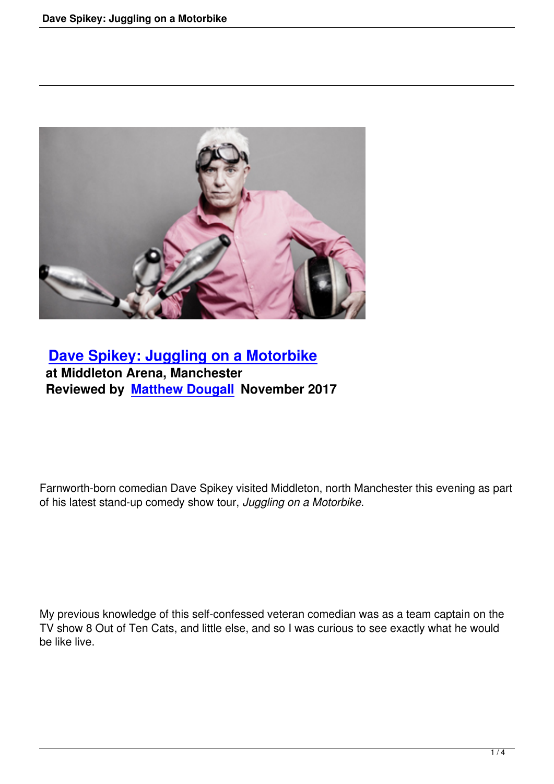

## **Dave Spikey: Juggling on a Motorbike at Middleton Arena, Manchester [Reviewed by Matthew Dougall November 20](dave-spikey-juggling-on-a-motorbike.html)17**

Farnworth-born comedian Dave Spikey visited Middleton, north Manchester this evening as part of his latest stand-up comedy show tour, *Juggling on a Motorbike*.

My previous knowledge of this self-confessed veteran comedian was as a team captain on the TV show 8 Out of Ten Cats, and little else, and so I was curious to see exactly what he would be like live.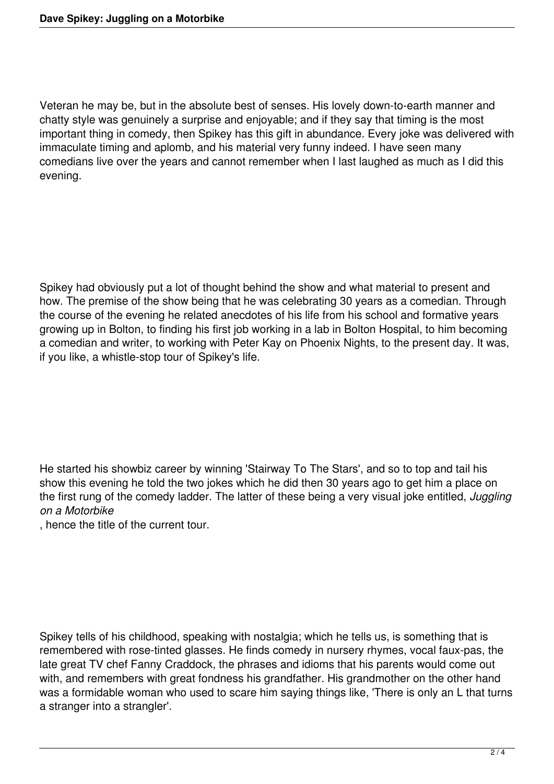Veteran he may be, but in the absolute best of senses. His lovely down-to-earth manner and chatty style was genuinely a surprise and enjoyable; and if they say that timing is the most important thing in comedy, then Spikey has this gift in abundance. Every joke was delivered with immaculate timing and aplomb, and his material very funny indeed. I have seen many comedians live over the years and cannot remember when I last laughed as much as I did this evening.

Spikey had obviously put a lot of thought behind the show and what material to present and how. The premise of the show being that he was celebrating 30 years as a comedian. Through the course of the evening he related anecdotes of his life from his school and formative years growing up in Bolton, to finding his first job working in a lab in Bolton Hospital, to him becoming a comedian and writer, to working with Peter Kay on Phoenix Nights, to the present day. It was, if you like, a whistle-stop tour of Spikey's life.

He started his showbiz career by winning 'Stairway To The Stars', and so to top and tail his show this evening he told the two jokes which he did then 30 years ago to get him a place on the first rung of the comedy ladder. The latter of these being a very visual joke entitled, *Juggling on a Motorbike*

, hence the title of the current tour.

Spikey tells of his childhood, speaking with nostalgia; which he tells us, is something that is remembered with rose-tinted glasses. He finds comedy in nursery rhymes, vocal faux-pas, the late great TV chef Fanny Craddock, the phrases and idioms that his parents would come out with, and remembers with great fondness his grandfather. His grandmother on the other hand was a formidable woman who used to scare him saying things like, 'There is only an L that turns a stranger into a strangler'.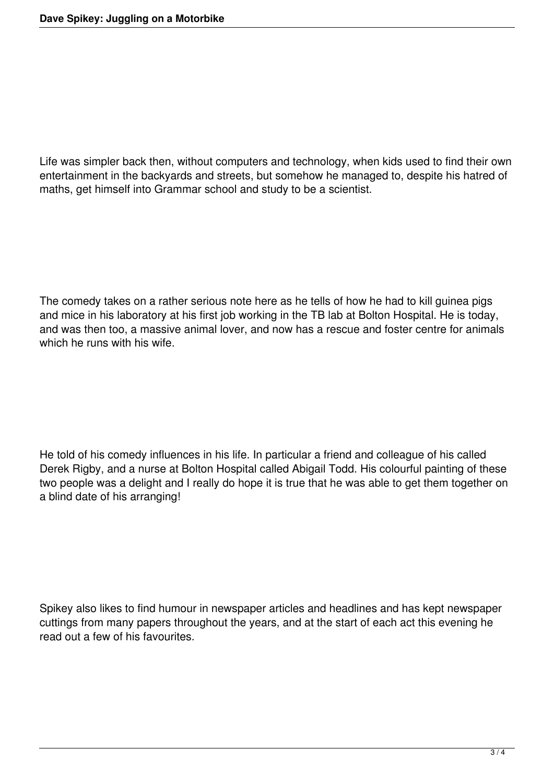Life was simpler back then, without computers and technology, when kids used to find their own entertainment in the backyards and streets, but somehow he managed to, despite his hatred of maths, get himself into Grammar school and study to be a scientist.

The comedy takes on a rather serious note here as he tells of how he had to kill guinea pigs and mice in his laboratory at his first job working in the TB lab at Bolton Hospital. He is today, and was then too, a massive animal lover, and now has a rescue and foster centre for animals which he runs with his wife.

He told of his comedy influences in his life. In particular a friend and colleague of his called Derek Rigby, and a nurse at Bolton Hospital called Abigail Todd. His colourful painting of these two people was a delight and I really do hope it is true that he was able to get them together on a blind date of his arranging!

Spikey also likes to find humour in newspaper articles and headlines and has kept newspaper cuttings from many papers throughout the years, and at the start of each act this evening he read out a few of his favourites.